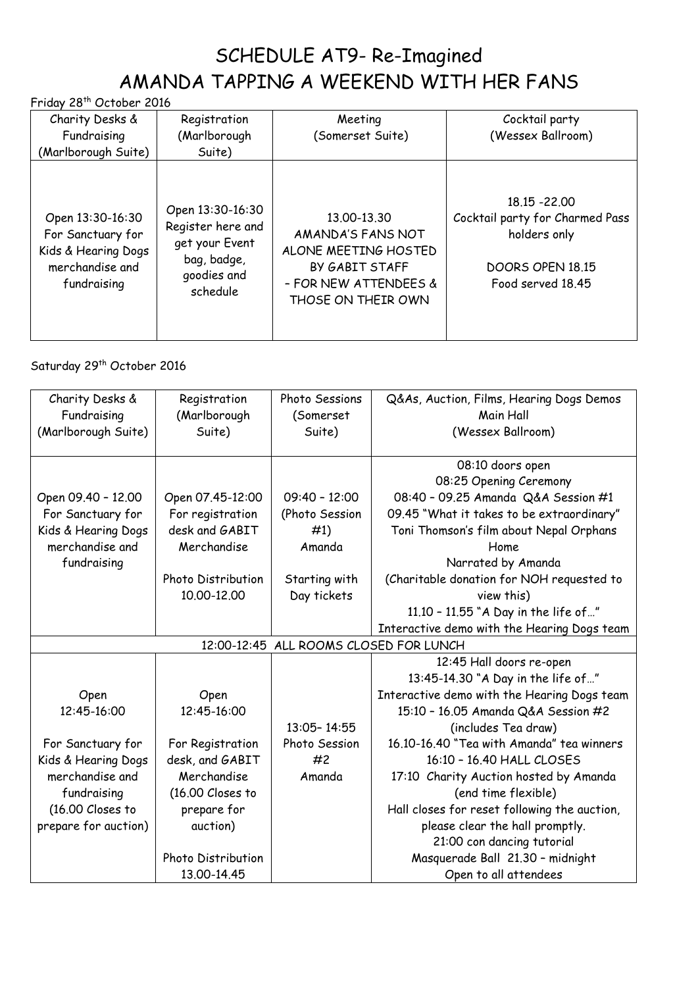## SCHEDULE AT9- Re-Imagined AMANDA TAPPING A WEEKEND WITH HER FANS

Friday 28th October 2016

| Charity Desks &<br>Fundraising                                                                 | Registration<br>(Marlborough                                                                      | Meeting<br>(Somerset Suite)                                                                                               | Cocktail party<br>(Wessex Ballroom)                                                                       |
|------------------------------------------------------------------------------------------------|---------------------------------------------------------------------------------------------------|---------------------------------------------------------------------------------------------------------------------------|-----------------------------------------------------------------------------------------------------------|
| (Marlborough Suite)                                                                            | Suite)                                                                                            |                                                                                                                           |                                                                                                           |
| Open 13:30-16:30<br>For Sanctuary for<br>Kids & Hearing Dogs<br>merchandise and<br>fundraising | Open 13:30-16:30<br>Register here and<br>get your Event<br>bag, badge,<br>goodies and<br>schedule | 13.00-13.30<br>AMANDA'S FANS NOT<br>ALONE MEETING HOSTED<br>BY GABIT STAFF<br>- FOR NEW ATTENDEES &<br>THOSE ON THEIR OWN | 18.15 - 22.00<br>Cocktail party for Charmed Pass<br>holders only<br>DOORS OPEN 18.15<br>Food served 18.45 |

## Saturday 29<sup>th</sup> October 2016

| Charity Desks &<br>Fundraising<br>(Marlborough Suite) | Registration<br>(Marlborough<br>Suite) | Photo Sessions<br>(Somerset<br>Suite)  | Q&As, Auction, Films, Hearing Dogs Demos<br>Main Hall<br>(Wessex Ballroom)                                                     |
|-------------------------------------------------------|----------------------------------------|----------------------------------------|--------------------------------------------------------------------------------------------------------------------------------|
| Open 09.40 - 12.00<br>For Sanctuary for               | Open 07.45-12:00<br>For registration   | $09:40 - 12:00$<br>(Photo Session      | 08:10 doors open<br>08:25 Opening Ceremony<br>08:40 - 09.25 Amanda Q&A Session #1<br>09.45 "What it takes to be extraordinary" |
| Kids & Hearing Dogs<br>merchandise and                | desk and GABIT<br>Merchandise          | #1)<br>Amanda                          | Toni Thomson's film about Nepal Orphans<br>Home                                                                                |
| fundraising                                           | Photo Distribution<br>10.00-12.00      | Starting with<br>Day tickets           | Narrated by Amanda<br>(Charitable donation for NOH requested to<br>view this)                                                  |
|                                                       |                                        |                                        | 11.10 - 11.55 "A Day in the life of"                                                                                           |
|                                                       |                                        | 12:00-12:45 ALL ROOMS CLOSED FOR LUNCH | Interactive demo with the Hearing Dogs team                                                                                    |
|                                                       |                                        |                                        | 12:45 Hall doors re-open                                                                                                       |
|                                                       |                                        |                                        | 13:45-14.30 "A Day in the life of"                                                                                             |
| Open                                                  | Open                                   |                                        | Interactive demo with the Hearing Dogs team                                                                                    |
| 12:45-16:00                                           | 12:45-16:00                            |                                        | 15:10 - 16.05 Amanda Q&A Session #2                                                                                            |
|                                                       |                                        | 13:05-14:55                            | (includes Tea draw)                                                                                                            |
| For Sanctuary for                                     | For Registration                       | Photo Session                          | 16.10-16.40 "Tea with Amanda" tea winners                                                                                      |
| Kids & Hearing Dogs                                   | desk, and GABIT                        | #2                                     | 16:10 - 16.40 HALL CLOSES                                                                                                      |
| merchandise and                                       | Merchandise                            | Amanda                                 | 17:10 Charity Auction hosted by Amanda                                                                                         |
| fundraising                                           | $(16.00$ Closes to                     |                                        | (end time flexible)                                                                                                            |
| (16.00 Closes to                                      | prepare for                            |                                        | Hall closes for reset following the auction,                                                                                   |
| prepare for auction)                                  | auction)                               |                                        | please clear the hall promptly.                                                                                                |
|                                                       |                                        |                                        | 21:00 con dancing tutorial                                                                                                     |
|                                                       | Photo Distribution                     |                                        | Masquerade Ball 21.30 - midnight                                                                                               |
|                                                       | 13.00-14.45                            |                                        | Open to all attendees                                                                                                          |